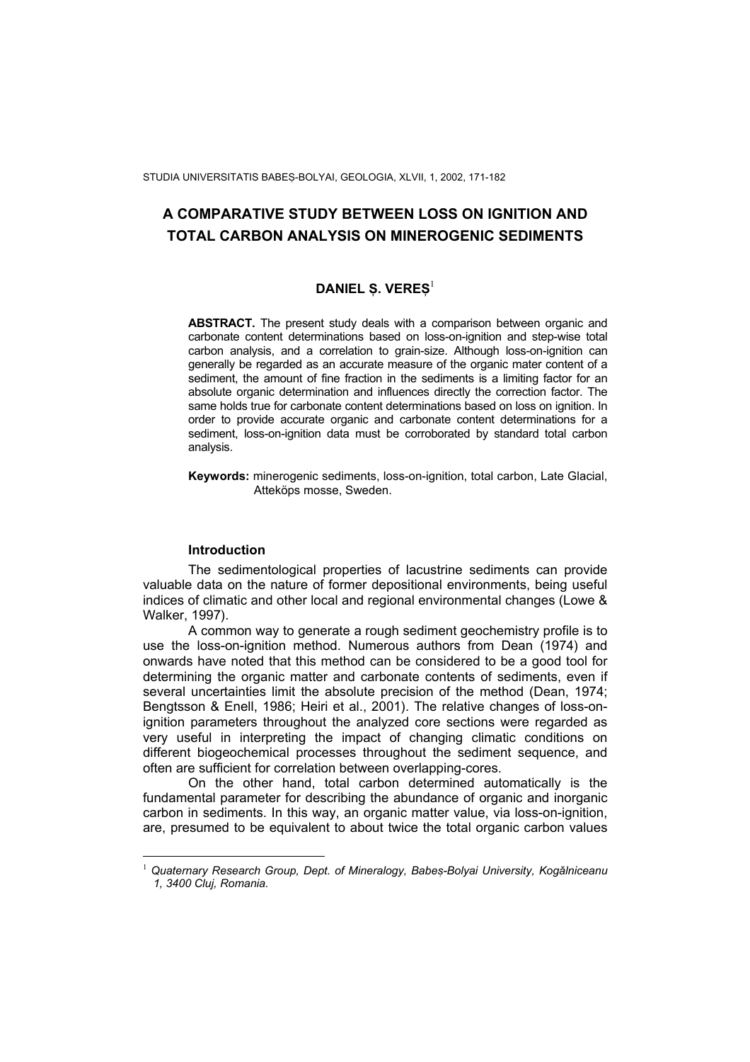STUDIA UNIVERSITATIS BABES-BOLYAI, GEOLOGIA, XLVII, 1, 2002, 171-182

# **A COMPARATIVE STUDY BETWEEN LOSS ON IGNITION AND TOTAL CARBON ANALYSIS ON MINEROGENIC SEDIMENTS**

# **DANIEL S. VERES<sup>[1](#page-0-0)</sup>**

**ABSTRACT.** The present study deals with a comparison between organic and carbonate content determinations based on loss-on-ignition and step-wise total carbon analysis, and a correlation to grain-size. Although loss-on-ignition can generally be regarded as an accurate measure of the organic mater content of a sediment, the amount of fine fraction in the sediments is a limiting factor for an absolute organic determination and influences directly the correction factor. The same holds true for carbonate content determinations based on loss on ignition. In order to provide accurate organic and carbonate content determinations for a sediment, loss-on-ignition data must be corroborated by standard total carbon analysis.

**Keywords:** minerogenic sediments, loss-on-ignition, total carbon, Late Glacial, Atteköps mosse, Sweden.

## **Introduction**

 $\overline{a}$ 

The sedimentological properties of lacustrine sediments can provide valuable data on the nature of former depositional environments, being useful indices of climatic and other local and regional environmental changes (Lowe & Walker, 1997).

A common way to generate a rough sediment geochemistry profile is to use the loss-on-ignition method. Numerous authors from Dean (1974) and onwards have noted that this method can be considered to be a good tool for determining the organic matter and carbonate contents of sediments, even if several uncertainties limit the absolute precision of the method (Dean, 1974; Bengtsson & Enell, 1986; Heiri et al., 2001). The relative changes of loss-onignition parameters throughout the analyzed core sections were regarded as very useful in interpreting the impact of changing climatic conditions on different biogeochemical processes throughout the sediment sequence, and often are sufficient for correlation between overlapping-cores.

On the other hand, total carbon determined automatically is the fundamental parameter for describing the abundance of organic and inorganic carbon in sediments. In this way, an organic matter value, via loss-on-ignition, are, presumed to be equivalent to about twice the total organic carbon values

<span id="page-0-0"></span><sup>1</sup> Quaternary Research Group, Dept. of Mineralogy, Babes-Bolyai University, Kogălniceanu *1, 3400 Cluj, Romania.*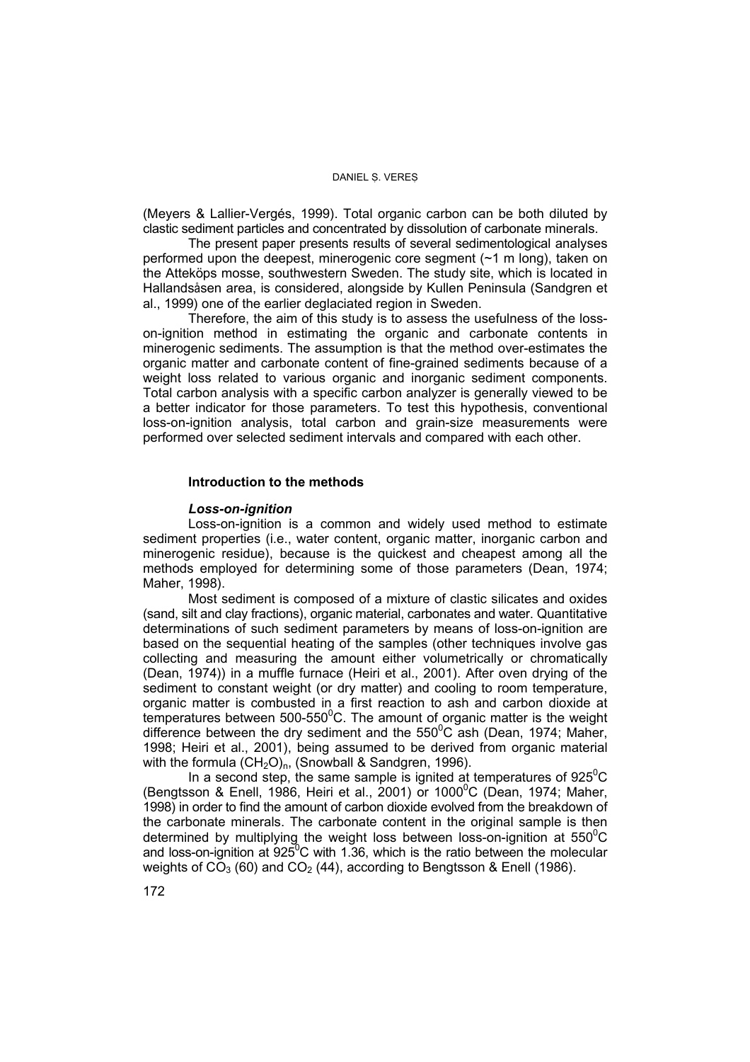(Meyers & Lallier-Vergés, 1999). Total organic carbon can be both diluted by clastic sediment particles and concentrated by dissolution of carbonate minerals.

The present paper presents results of several sedimentological analyses performed upon the deepest, minerogenic core segment (~1 m long), taken on the Atteköps mosse, southwestern Sweden. The study site, which is located in Hallandsåsen area, is considered, alongside by Kullen Peninsula (Sandgren et al., 1999) one of the earlier deglaciated region in Sweden.

Therefore, the aim of this study is to assess the usefulness of the losson-ignition method in estimating the organic and carbonate contents in minerogenic sediments. The assumption is that the method over-estimates the organic matter and carbonate content of fine-grained sediments because of a weight loss related to various organic and inorganic sediment components. Total carbon analysis with a specific carbon analyzer is generally viewed to be a better indicator for those parameters. To test this hypothesis, conventional loss-on-ignition analysis, total carbon and grain-size measurements were performed over selected sediment intervals and compared with each other.

### **Introduction to the methods**

#### *Loss-on-ignition*

Loss-on-ignition is a common and widely used method to estimate sediment properties (i.e., water content, organic matter, inorganic carbon and minerogenic residue), because is the quickest and cheapest among all the methods employed for determining some of those parameters (Dean, 1974; Maher, 1998).

Most sediment is composed of a mixture of clastic silicates and oxides (sand, silt and clay fractions), organic material, carbonates and water. Quantitative determinations of such sediment parameters by means of loss-on-ignition are based on the sequential heating of the samples (other techniques involve gas collecting and measuring the amount either volumetrically or chromatically (Dean, 1974)) in a muffle furnace (Heiri et al., 2001). After oven drying of the sediment to constant weight (or dry matter) and cooling to room temperature, organic matter is combusted in a first reaction to ash and carbon dioxide at temperatures between 500-550 $\mathrm{^{0}C}$ . The amount of organic matter is the weight difference between the dry sediment and the  $550^{\circ}$ C ash (Dean, 1974; Maher, 1998; Heiri et al., 2001), being assumed to be derived from organic material with the formula  $(CH_2O)_n$ , (Snowball & Sandgren, 1996).

In a second step, the same sample is ignited at temperatures of  $925^{\circ}$ C (Bengtsson & Enell, 1986, Heiri et al., 2001) or 1000 $^{\circ}$ C (Dean, 1974; Maher, 1998) in order to find the amount of carbon dioxide evolved from the breakdown of the carbonate minerals. The carbonate content in the original sample is then determined by multiplying the weight loss between loss-on-ignition at 550 $\mathrm{^{0}C}$ and loss-on-ignition at  $925^{\circ}$ C with 1.36, which is the ratio between the molecular weights of  $CO<sub>3</sub>$  (60) and  $CO<sub>2</sub>$  (44), according to Bengtsson & Enell (1986).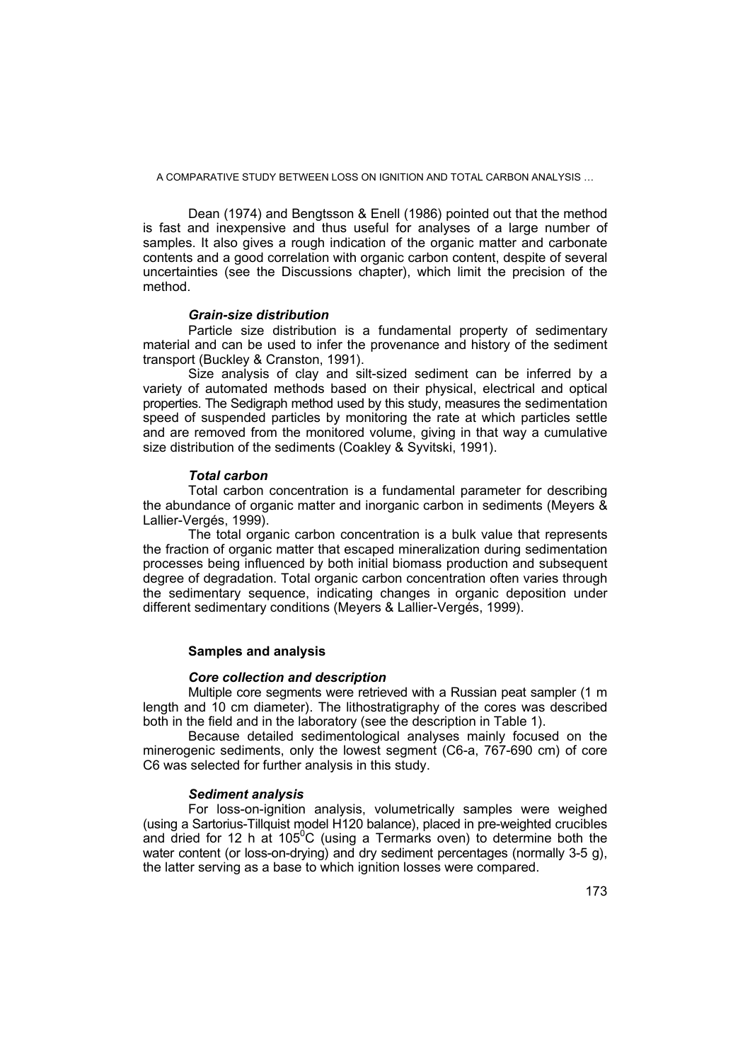Dean (1974) and Bengtsson & Enell (1986) pointed out that the method is fast and inexpensive and thus useful for analyses of a large number of samples. It also gives a rough indication of the organic matter and carbonate contents and a good correlation with organic carbon content, despite of several uncertainties (see the Discussions chapter), which limit the precision of the method.

### *Grain-size distribution*

Particle size distribution is a fundamental property of sedimentary material and can be used to infer the provenance and history of the sediment transport (Buckley & Cranston, 1991).

Size analysis of clay and silt-sized sediment can be inferred by a variety of automated methods based on their physical, electrical and optical properties. The Sedigraph method used by this study, measures the sedimentation speed of suspended particles by monitoring the rate at which particles settle and are removed from the monitored volume, giving in that way a cumulative size distribution of the sediments (Coakley & Syvitski, 1991).

### *Total carbon*

Total carbon concentration is a fundamental parameter for describing the abundance of organic matter and inorganic carbon in sediments (Meyers & Lallier-Vergés, 1999).

The total organic carbon concentration is a bulk value that represents the fraction of organic matter that escaped mineralization during sedimentation processes being influenced by both initial biomass production and subsequent degree of degradation. Total organic carbon concentration often varies through the sedimentary sequence, indicating changes in organic deposition under different sedimentary conditions (Meyers & Lallier-Vergés, 1999).

### **Samples and analysis**

### *Core collection and description*

Multiple core segments were retrieved with a Russian peat sampler (1 m length and 10 cm diameter). The lithostratigraphy of the cores was described both in the field and in the laboratory (see the description in Table 1).

Because detailed sedimentological analyses mainly focused on the minerogenic sediments, only the lowest segment (C6-a, 767-690 cm) of core C6 was selected for further analysis in this study.

### *Sediment analysis*

For loss-on-ignition analysis, volumetrically samples were weighed (using a Sartorius-Tillquist model H120 balance), placed in pre-weighted crucibles and dried for 12 h at 105 $\mathrm{^{0}C}$  (using a Termarks oven) to determine both the water content (or loss-on-drying) and dry sediment percentages (normally 3-5 g), the latter serving as a base to which ignition losses were compared.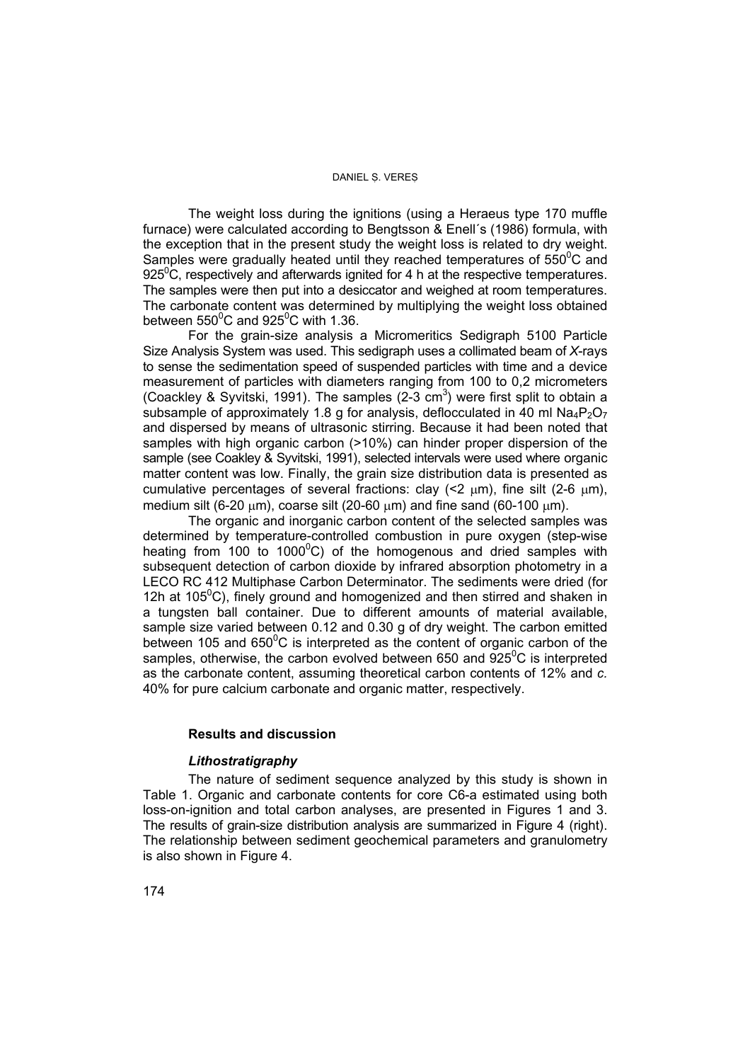The weight loss during the ignitions (using a Heraeus type 170 muffle furnace) were calculated according to Bengtsson & Enell´s (1986) formula, with the exception that in the present study the weight loss is related to dry weight. Samples were gradually heated until they reached temperatures of  $550^{\circ}$ C and 925 $\mathrm{^0C}$ , respectively and afterwards ignited for 4 h at the respective temperatures. The samples were then put into a desiccator and weighed at room temperatures. The carbonate content was determined by multiplying the weight loss obtained between  $550^0$ C and  $925^0$ C with 1.36.

For the grain-size analysis a Micromeritics Sedigraph 5100 Particle Size Analysis System was used. This sedigraph uses a collimated beam of *X*-rays to sense the sedimentation speed of suspended particles with time and a device measurement of particles with diameters ranging from 100 to 0,2 micrometers (Coackley & Syvitski, 1991). The samples  $(2-3 \text{ cm}^3)$  were first split to obtain a subsample of approximately 1.8 g for analysis, deflocculated in 40 ml  $Na_4P_2O_7$ and dispersed by means of ultrasonic stirring. Because it had been noted that samples with high organic carbon (>10%) can hinder proper dispersion of the sample (see Coakley & Syvitski, 1991), selected intervals were used where organic matter content was low. Finally, the grain size distribution data is presented as cumulative percentages of several fractions: clay  $(22 \mu m)$ , fine silt  $(2-6 \mu m)$ , medium silt (6-20  $\mu$ m), coarse silt (20-60  $\mu$ m) and fine sand (60-100  $\mu$ m).

The organic and inorganic carbon content of the selected samples was determined by temperature-controlled combustion in pure oxygen (step-wise heating from 100 to 1000 $^{\circ}$ C) of the homogenous and dried samples with subsequent detection of carbon dioxide by infrared absorption photometry in a LECO RC 412 Multiphase Carbon Determinator. The sediments were dried (for 12h at 105 $\mathrm{^0C}$ ), finely ground and homogenized and then stirred and shaken in a tungsten ball container. Due to different amounts of material available, sample size varied between 0.12 and 0.30 g of dry weight. The carbon emitted between 105 and  $650^{\circ}$ C is interpreted as the content of organic carbon of the samples, otherwise, the carbon evolved between 650 and  $925^0C$  is interpreted as the carbonate content, assuming theoretical carbon contents of 12% and *c.* 40% for pure calcium carbonate and organic matter, respectively.

### **Results and discussion**

### *Lithostratigraphy*

The nature of sediment sequence analyzed by this study is shown in Table 1. Organic and carbonate contents for core C6-a estimated using both loss-on-ignition and total carbon analyses, are presented in Figures 1 and 3. The results of grain-size distribution analysis are summarized in Figure 4 (right). The relationship between sediment geochemical parameters and granulometry is also shown in Figure 4.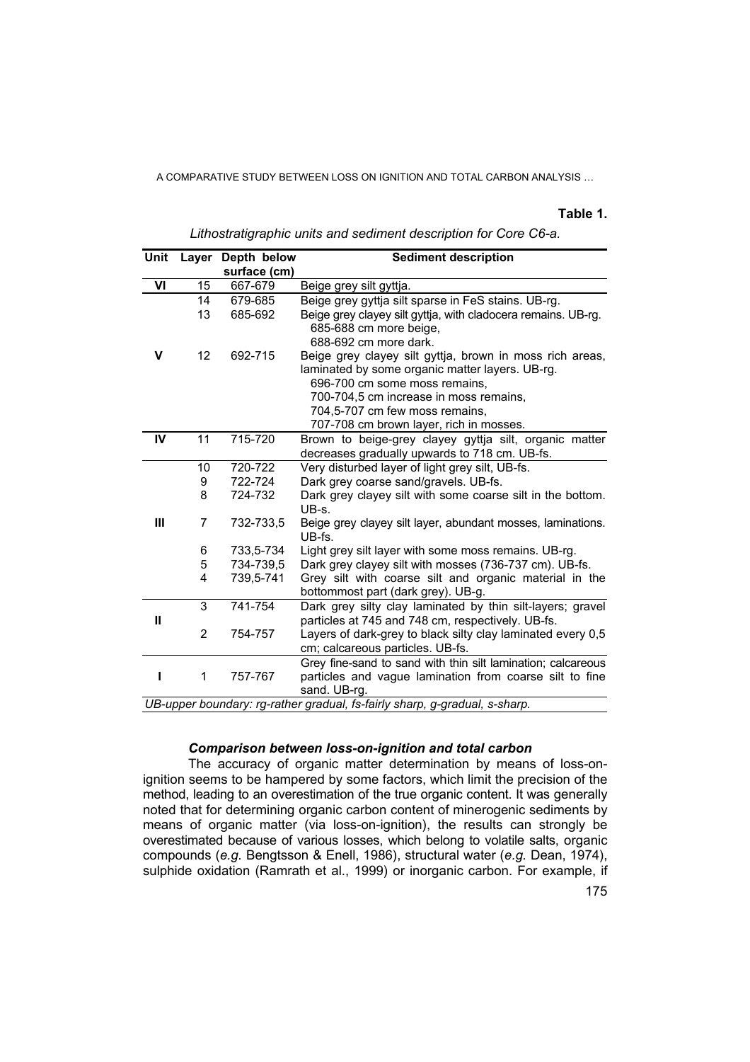### **Table 1.**

| Unit                                                                       | Laver          | Depth below  | <b>Sediment description</b>                                                                                                                                                                                                                                         |
|----------------------------------------------------------------------------|----------------|--------------|---------------------------------------------------------------------------------------------------------------------------------------------------------------------------------------------------------------------------------------------------------------------|
|                                                                            |                | surface (cm) |                                                                                                                                                                                                                                                                     |
| VI                                                                         | 15             | 667-679      | Beige grey silt gyttja.                                                                                                                                                                                                                                             |
|                                                                            | 14             | 679-685      | Beige grey gyttja silt sparse in FeS stains. UB-rg.                                                                                                                                                                                                                 |
|                                                                            | 13             | 685-692      | Beige grey clayey silt gyttja, with cladocera remains. UB-rg.<br>685-688 cm more beige,<br>688-692 cm more dark.                                                                                                                                                    |
| V                                                                          | 12             | 692-715      | Beige grey clayey silt gyttja, brown in moss rich areas,<br>laminated by some organic matter layers. UB-rg.<br>696-700 cm some moss remains,<br>700-704,5 cm increase in moss remains,<br>704,5-707 cm few moss remains,<br>707-708 cm brown layer, rich in mosses. |
| IV                                                                         | 11             | 715-720      | Brown to beige-grey clayey gyttja silt, organic matter                                                                                                                                                                                                              |
|                                                                            |                |              | decreases gradually upwards to 718 cm. UB-fs.                                                                                                                                                                                                                       |
|                                                                            | 10             | 720-722      | Very disturbed layer of light grey silt, UB-fs.                                                                                                                                                                                                                     |
|                                                                            | 9              | 722-724      | Dark grey coarse sand/gravels. UB-fs.                                                                                                                                                                                                                               |
|                                                                            | 8              | 724-732      | Dark grey clayey silt with some coarse silt in the bottom.<br>UB-s.                                                                                                                                                                                                 |
| Ш                                                                          | 7              | 732-733,5    | Beige grey clayey silt layer, abundant mosses, laminations.<br>UB-fs.                                                                                                                                                                                               |
|                                                                            | 6              | 733,5-734    | Light grey silt layer with some moss remains. UB-rg.                                                                                                                                                                                                                |
|                                                                            | 5              | 734-739,5    | Dark grey clayey silt with mosses (736-737 cm). UB-fs.                                                                                                                                                                                                              |
|                                                                            | 4              | 739,5-741    | Grey silt with coarse silt and organic material in the<br>bottommost part (dark grey). UB-g.                                                                                                                                                                        |
|                                                                            | 3              | 741-754      | Dark grey silty clay laminated by thin silt-layers; gravel                                                                                                                                                                                                          |
| Ш                                                                          |                |              | particles at 745 and 748 cm, respectively. UB-fs.                                                                                                                                                                                                                   |
|                                                                            | $\overline{c}$ | 754-757      | Layers of dark-grey to black silty clay laminated every 0,5                                                                                                                                                                                                         |
|                                                                            |                |              | cm; calcareous particles. UB-fs.                                                                                                                                                                                                                                    |
|                                                                            | 1              | 757-767      | Grey fine-sand to sand with thin silt lamination; calcareous<br>particles and vague lamination from coarse silt to fine<br>sand. UB-rg.                                                                                                                             |
| UB-upper boundary: rg-rather gradual, fs-fairly sharp, g-gradual, s-sharp. |                |              |                                                                                                                                                                                                                                                                     |

*Lithostratigraphic units and sediment description for Core C6-a.* 

### *Comparison between loss-on-ignition and total carbon*

The accuracy of organic matter determination by means of loss-onignition seems to be hampered by some factors, which limit the precision of the method, leading to an overestimation of the true organic content. It was generally noted that for determining organic carbon content of minerogenic sediments by means of organic matter (via loss-on-ignition), the results can strongly be overestimated because of various losses, which belong to volatile salts, organic compounds (*e.g.* Bengtsson & Enell, 1986), structural water (*e.g.* Dean, 1974), sulphide oxidation (Ramrath et al., 1999) or inorganic carbon. For example, if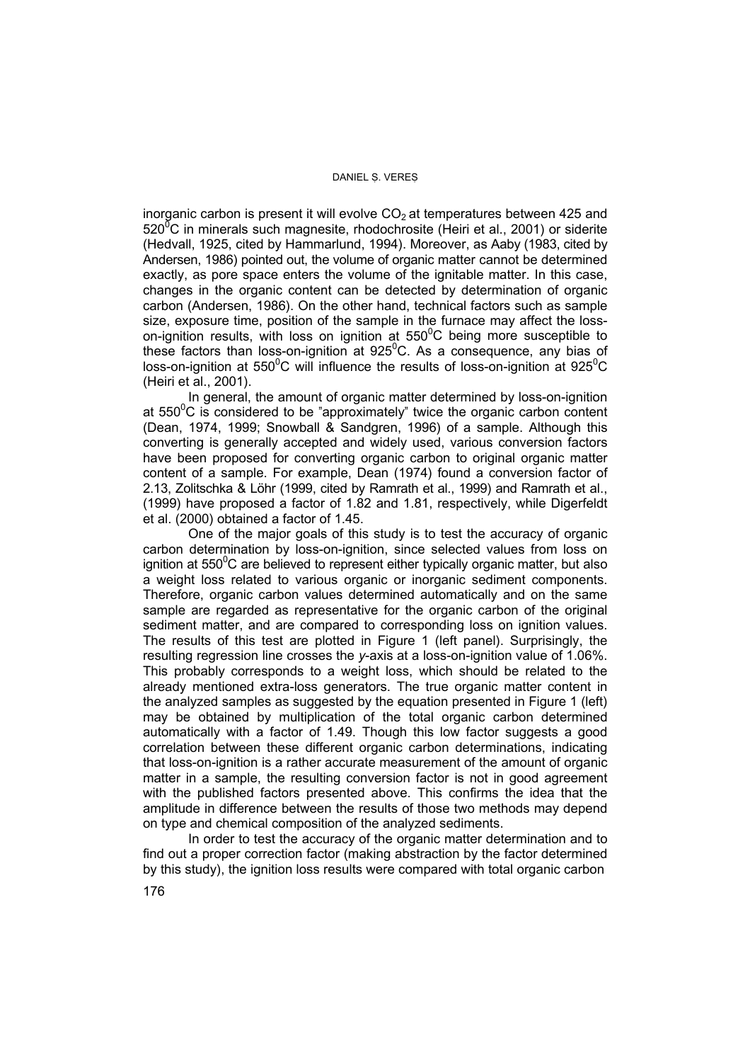inorganic carbon is present it will evolve  $CO<sub>2</sub>$  at temperatures between 425 and 520 $\mathrm{^{7}C}$  in minerals such magnesite, rhodochrosite (Heiri et al., 2001) or siderite (Hedvall, 1925, cited by Hammarlund, 1994). Moreover, as Aaby (1983, cited by Andersen, 1986) pointed out, the volume of organic matter cannot be determined exactly, as pore space enters the volume of the ignitable matter. In this case, changes in the organic content can be detected by determination of organic carbon (Andersen, 1986). On the other hand, technical factors such as sample size, exposure time, position of the sample in the furnace may affect the losson-ignition results, with loss on ignition at  $550^{\circ}$ C being more susceptible to these factors than loss-on-ignition at 925 $\mathrm{^0C}$ . As a consequence, any bias of loss-on-ignition at 550<sup>°</sup>C will influence the results of loss-on-ignition at 925<sup>°</sup>C (Heiri et al., 2001).

In general, the amount of organic matter determined by loss-on-ignition at  $550^{\circ}$ C is considered to be "approximately" twice the organic carbon content (Dean, 1974, 1999; Snowball & Sandgren, 1996) of a sample. Although this converting is generally accepted and widely used, various conversion factors have been proposed for converting organic carbon to original organic matter content of a sample. For example, Dean (1974) found a conversion factor of 2.13, Zolitschka & Löhr (1999, cited by Ramrath et al., 1999) and Ramrath et al., (1999) have proposed a factor of 1.82 and 1.81, respectively, while Digerfeldt et al. (2000) obtained a factor of 1.45.

One of the major goals of this study is to test the accuracy of organic carbon determination by loss-on-ignition, since selected values from loss on ignition at 550 $\mathrm{^0C}$  are believed to represent either typically organic matter, but also a weight loss related to various organic or inorganic sediment components. Therefore, organic carbon values determined automatically and on the same sample are regarded as representative for the organic carbon of the original sediment matter, and are compared to corresponding loss on ignition values. The results of this test are plotted in Figure 1 (left panel). Surprisingly, the resulting regression line crosses the *y*-axis at a loss-on-ignition value of 1.06%. This probably corresponds to a weight loss, which should be related to the already mentioned extra-loss generators. The true organic matter content in the analyzed samples as suggested by the equation presented in Figure 1 (left) may be obtained by multiplication of the total organic carbon determined automatically with a factor of 1.49. Though this low factor suggests a good correlation between these different organic carbon determinations, indicating that loss-on-ignition is a rather accurate measurement of the amount of organic matter in a sample, the resulting conversion factor is not in good agreement with the published factors presented above. This confirms the idea that the amplitude in difference between the results of those two methods may depend on type and chemical composition of the analyzed sediments.

In order to test the accuracy of the organic matter determination and to find out a proper correction factor (making abstraction by the factor determined by this study), the ignition loss results were compared with total organic carbon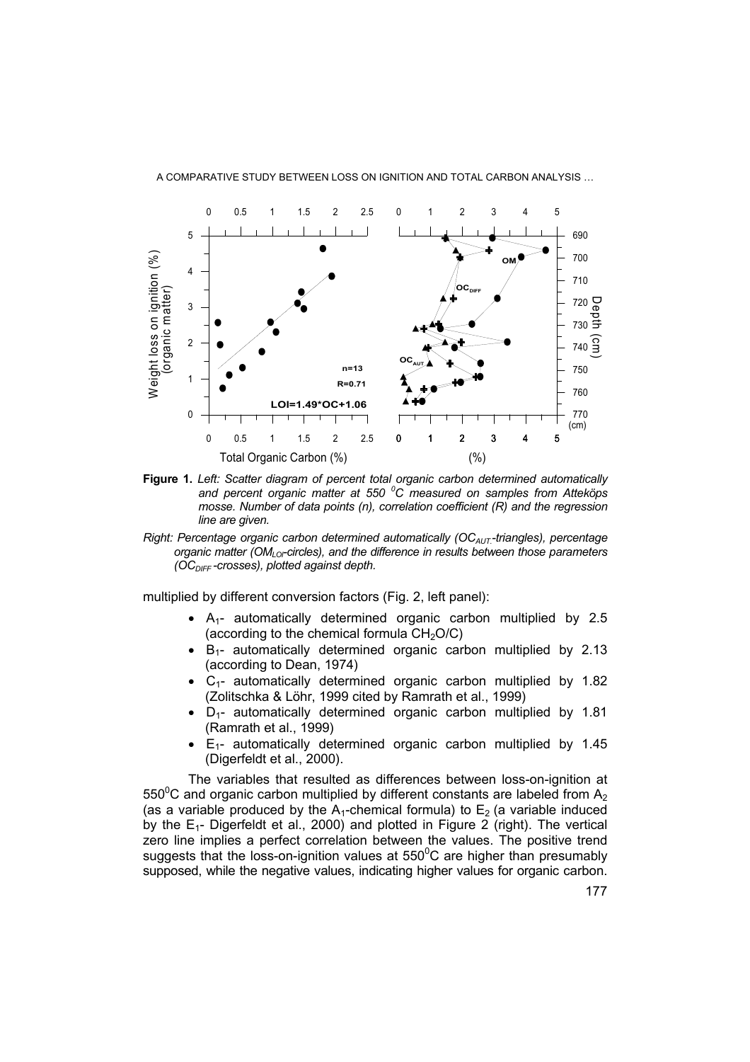



- **Figure 1.** *Left: Scatter diagram of percent total organic carbon determined automatically and percent organic matter at 550 <sup>0</sup> C measured on samples from Atteköps mosse. Number of data points (n), correlation coefficient (R) and the regression line are given.*
- *Right: Percentage organic carbon determined automatically (OC<sub>AUT</sub>-triangles), percentage organic matter (OM<sub>LOF</sub> circles), and the difference in results between those parameters (OCDIFF -crosses), plotted against depth.*

multiplied by different conversion factors (Fig. 2, left panel):

- $\bullet$  A<sub>1</sub>- automatically determined organic carbon multiplied by 2.5 (according to the chemical formula  $CH<sub>2</sub>O/C$ )
- $\bullet$  B<sub>1</sub>- automatically determined organic carbon multiplied by 2.13 (according to Dean, 1974)
- $C_1$  automatically determined organic carbon multiplied by 1.82 (Zolitschka & Löhr, 1999 cited by Ramrath et al., 1999)
- D1- automatically determined organic carbon multiplied by 1.81 (Ramrath et al., 1999)
- $E_{1}$  automatically determined organic carbon multiplied by 1.45 (Digerfeldt et al., 2000).

The variables that resulted as differences between loss-on-ignition at 550<sup>0</sup>C and organic carbon multiplied by different constants are labeled from A<sub>2</sub> (as a variable produced by the  $A_1$ -chemical formula) to  $E_2$  (a variable induced by the  $E_1$ - Digerfeldt et al., 2000) and plotted in Figure 2 (right). The vertical zero line implies a perfect correlation between the values. The positive trend suggests that the loss-on-ignition values at 550 $\mathrm{^0C}$  are higher than presumably supposed, while the negative values, indicating higher values for organic carbon.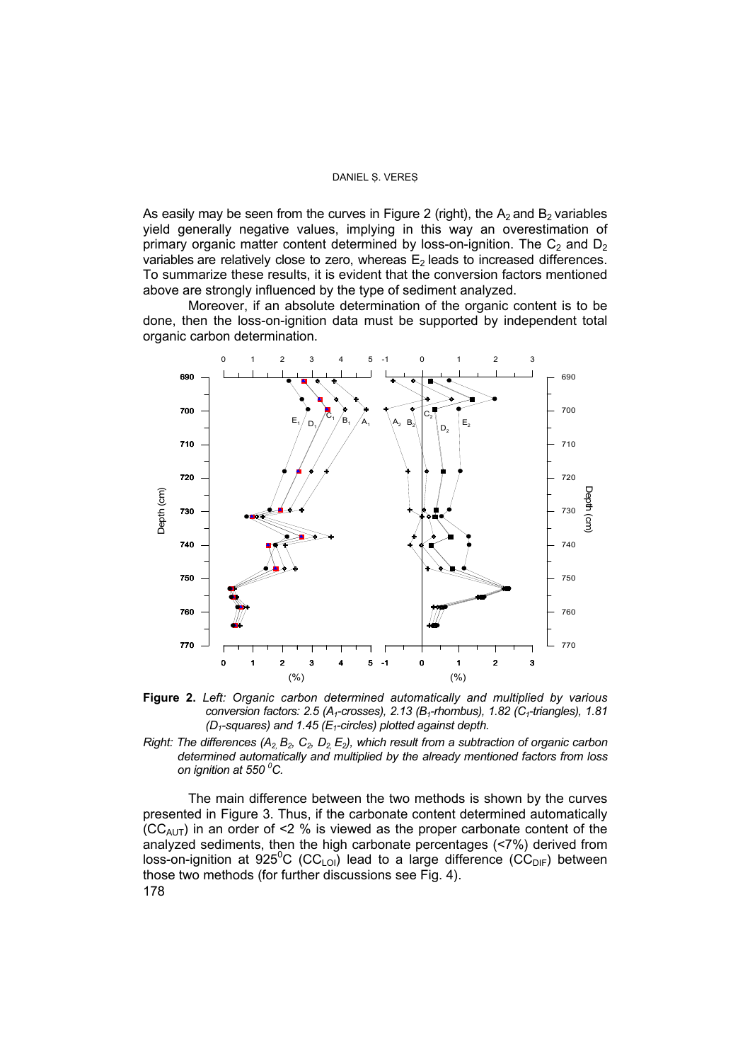As easily may be seen from the curves in Figure 2 (right), the  $A<sub>2</sub>$  and B<sub>2</sub> variables yield generally negative values, implying in this way an overestimation of primary organic matter content determined by loss-on-ignition. The  $C_2$  and  $D_2$ variables are relatively close to zero, whereas  $E_2$  leads to increased differences. To summarize these results, it is evident that the conversion factors mentioned above are strongly influenced by the type of sediment analyzed.

Moreover, if an absolute determination of the organic content is to be done, then the loss-on-ignition data must be supported by independent total organic carbon determination.



**Figure 2.** *Left: Organic carbon determined automatically and multiplied by various conversion factors: 2.5 (A<sub>1</sub>-crosses), 2.13 (B<sub>1</sub>-rhombus), 1.82 (C<sub>1</sub>-triangles), 1.81 (D1-squares) and 1.45 (E1-circles) plotted against depth.* 

*Right: The differences (A<sub>2,</sub> B<sub>2</sub>, C<sub>2</sub>, D<sub>2,</sub> E<sub>2</sub>), which result from a subtraction of organic carbon determined automatically and multiplied by the already mentioned factors from loss on ignition at 550 0 C.*

The main difference between the two methods is shown by the curves presented in Figure 3. Thus, if the carbonate content determined automatically  $(CC_{AUT})$  in an order of <2 % is viewed as the proper carbonate content of the analyzed sediments, then the high carbonate percentages (<7%) derived from loss-on-ignition at 925<sup>°</sup>C (CC<sub>LOI</sub>) lead to a large difference (CC<sub>DIF</sub>) between those two methods (for further discussions see Fig. 4). 178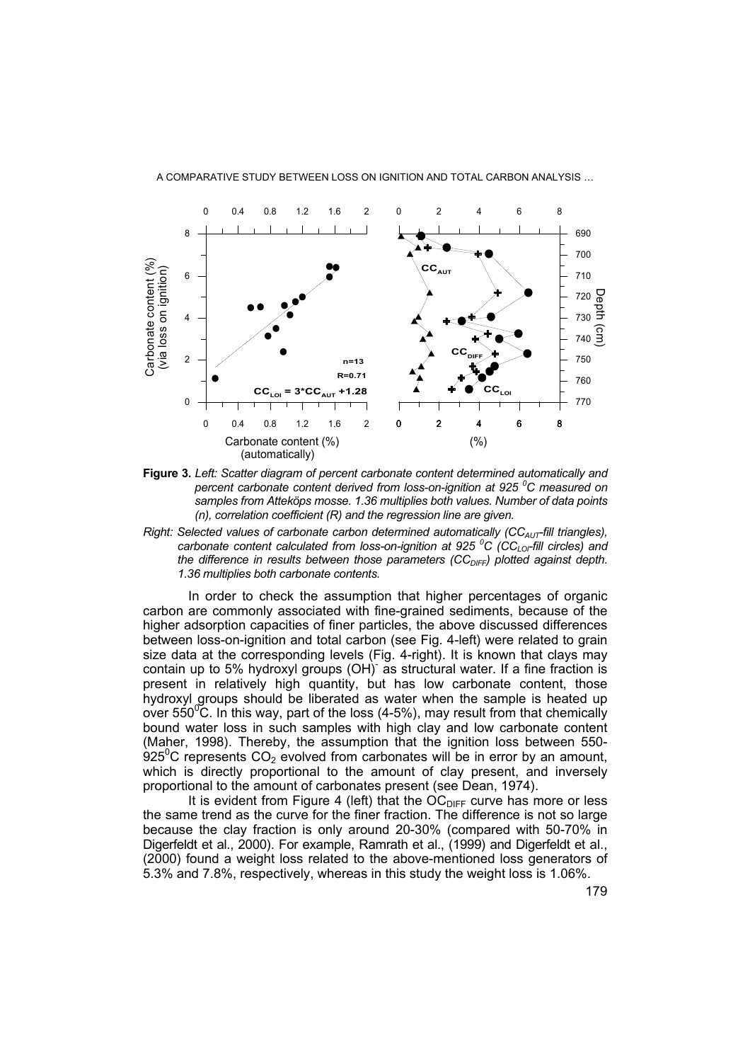

**Figure 3.** *Left: Scatter diagram of percent carbonate content determined automatically and percent carbonate content derived from loss-on-ignition at 925 <sup>0</sup> C measured on samples from Atteköps mosse. 1.36 multiplies both values. Number of data points (n), correlation coefficient (R) and the regression line are given.* 

*Right: Selected values of carbonate carbon determined automatically (CC<sub>AUT</sub>-fill triangles), carbonate content calculated from loss-on-ignition at 925 <sup>o</sup>C (CC<sub>LOF</sub>fill circles) and the difference in results between those parameters (CC<sub>DIFF</sub>) plotted against depth. 1.36 multiplies both carbonate contents.*

In order to check the assumption that higher percentages of organic carbon are commonly associated with fine-grained sediments, because of the higher adsorption capacities of finer particles, the above discussed differences between loss-on-ignition and total carbon (see Fig. 4-left) were related to grain size data at the corresponding levels (Fig. 4-right). It is known that clays may contain up to 5% hydroxyl groups (OH) as structural water. If a fine fraction is present in relatively high quantity, but has low carbonate content, those hydroxyl groups should be liberated as water when the sample is heated up over 550 $\mathrm{^{0}C}$ . In this way, part of the loss (4-5%), may result from that chemically bound water loss in such samples with high clay and low carbonate content (Maher, 1998). Thereby, the assumption that the ignition loss between 550-  $925^{\circ}$ C represents CO<sub>2</sub> evolved from carbonates will be in error by an amount, which is directly proportional to the amount of clay present, and inversely proportional to the amount of carbonates present (see Dean, 1974).

It is evident from Figure 4 (left) that the  $OC<sub>DIFF</sub>$  curve has more or less the same trend as the curve for the finer fraction. The difference is not so large because the clay fraction is only around 20-30% (compared with 50-70% in Digerfeldt et al., 2000). For example, Ramrath et al., (1999) and Digerfeldt et al., (2000) found a weight loss related to the above-mentioned loss generators of 5.3% and 7.8%, respectively, whereas in this study the weight loss is 1.06%.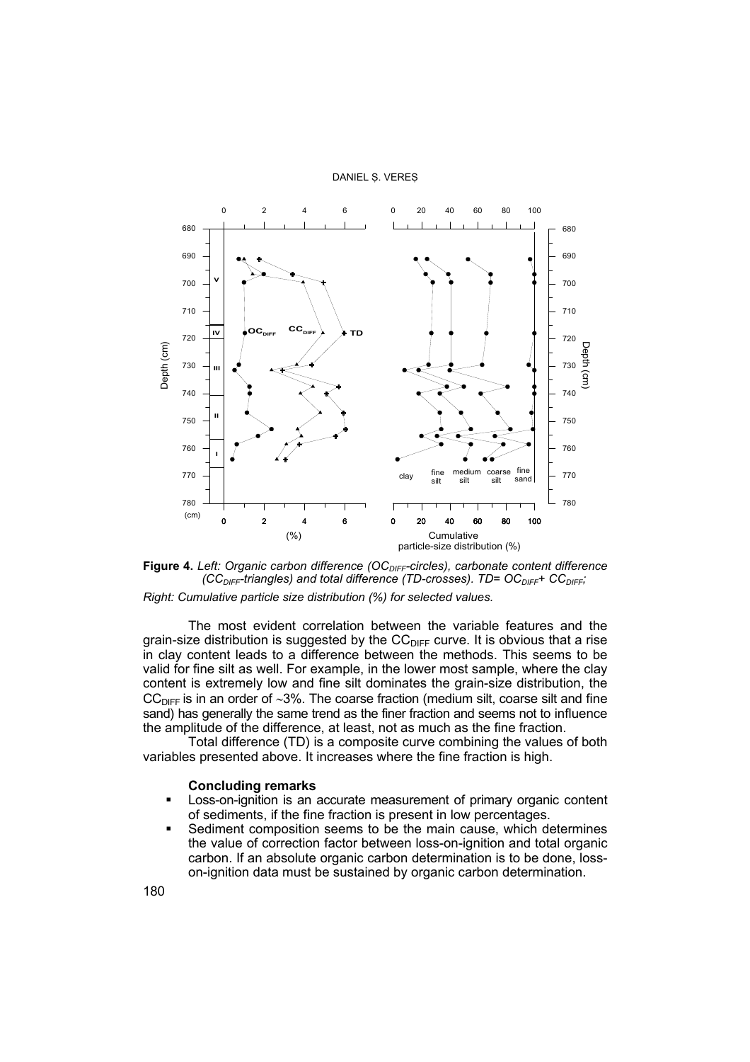

Figure 4. Left: Organic carbon difference (OC<sub>DIFF</sub>-circles), carbonate content difference *(CC<sub>DIFF</sub>-triangles) and total difference (TD-crosses). TD= OC<sub>DIFF</sub>+ CC<sub>DIFF</sub>;* 

*Right: Cumulative particle size distribution (%) for selected values.*

The most evident correlation between the variable features and the grain-size distribution is suggested by the  $CC_{DIFF}$  curve. It is obvious that a rise in clay content leads to a difference between the methods. This seems to be valid for fine silt as well. For example, in the lower most sample, where the clay content is extremely low and fine silt dominates the grain-size distribution, the CC<sub>DIFF</sub> is in an order of ~3%. The coarse fraction (medium silt, coarse silt and fine sand) has generally the same trend as the finer fraction and seems not to influence the amplitude of the difference, at least, not as much as the fine fraction.

Total difference (TD) is a composite curve combining the values of both variables presented above. It increases where the fine fraction is high.

### **Concluding remarks**

- Loss-on-ignition is an accurate measurement of primary organic content of sediments, if the fine fraction is present in low percentages.
- Sediment composition seems to be the main cause, which determines the value of correction factor between loss-on-ignition and total organic carbon. If an absolute organic carbon determination is to be done, losson-ignition data must be sustained by organic carbon determination.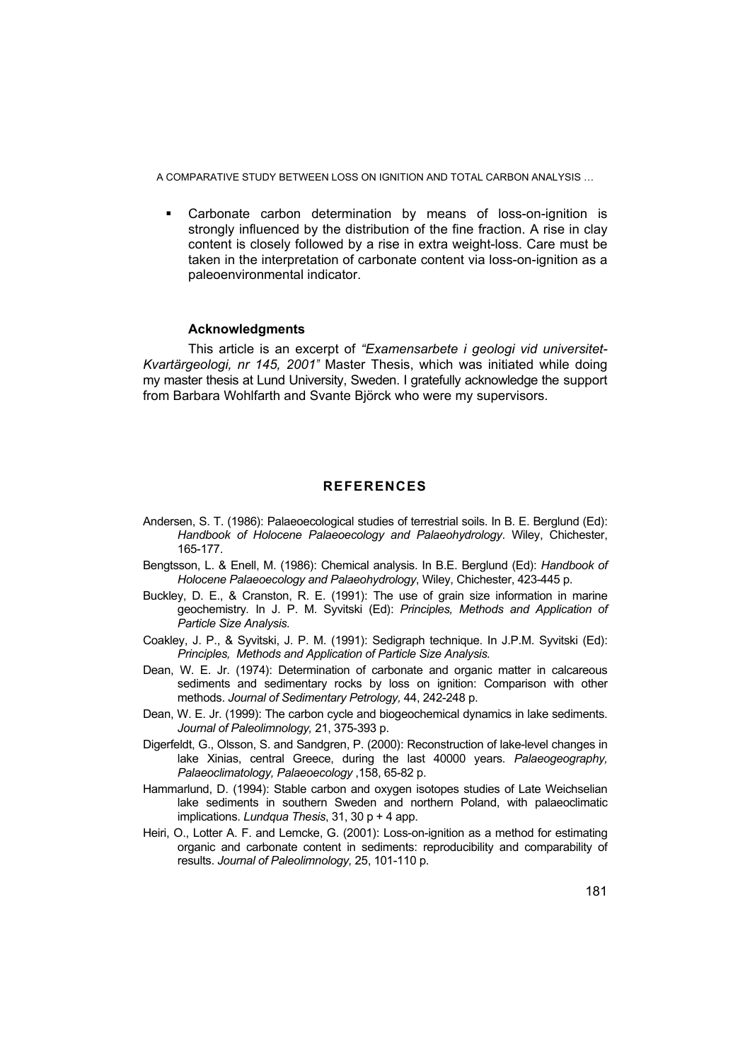Carbonate carbon determination by means of loss-on-ignition is strongly influenced by the distribution of the fine fraction. A rise in clay content is closely followed by a rise in extra weight-loss. Care must be taken in the interpretation of carbonate content via loss-on-ignition as a paleoenvironmental indicator.

### **Acknowledgments**

This article is an excerpt of *"Examensarbete i geologi vid universitet-Kvartärgeologi, nr 145, 2001"* Master Thesis, which was initiated while doing my master thesis at Lund University, Sweden. I gratefully acknowledge the support from Barbara Wohlfarth and Svante Björck who were my supervisors.

### **REFERENCES**

- Andersen, S. T. (1986): Palaeoecological studies of terrestrial soils. In B. E. Berglund (Ed): *Handbook of Holocene Palaeoecology and Palaeohydrology*. Wiley, Chichester, 165-177.
- Bengtsson, L. & Enell, M. (1986): Chemical analysis. In B.E. Berglund (Ed): *Handbook of Holocene Palaeoecology and Palaeohydrology*, Wiley, Chichester, 423-445 p.
- Buckley, D. E., & Cranston, R. E. (1991): The use of grain size information in marine geochemistry*.* In J. P. M. Syvitski (Ed): *Principles, Methods and Application of Particle Size Analysis.*
- Coakley, J. P., & Syvitski, J. P. M. (1991): Sedigraph technique. In J.P.M. Syvitski (Ed): *Principles, Methods and Application of Particle Size Analysis.*
- Dean, W. E. Jr. (1974): Determination of carbonate and organic matter in calcareous sediments and sedimentary rocks by loss on ignition: Comparison with other methods. *Journal of Sedimentary Petrology,* 44, 242-248 p.
- Dean, W. E. Jr. (1999): The carbon cycle and biogeochemical dynamics in lake sediments. *Journal of Paleolimnology,* 21, 375-393 p.
- Digerfeldt, G., Olsson, S. and Sandgren, P. (2000): Reconstruction of lake-level changes in lake Xinias, central Greece, during the last 40000 years*. Palaeogeography, Palaeoclimatology, Palaeoecology* ,158, 65-82 p.
- Hammarlund, D. (1994): Stable carbon and oxygen isotopes studies of Late Weichselian lake sediments in southern Sweden and northern Poland, with palaeoclimatic implications. *Lundqua Thesis*, 31, 30 p + 4 app.
- Heiri, O., Lotter A. F. and Lemcke, G. (2001): Loss-on-ignition as a method for estimating organic and carbonate content in sediments: reproducibility and comparability of results. *Journal of Paleolimnology,* 25, 101-110 p.